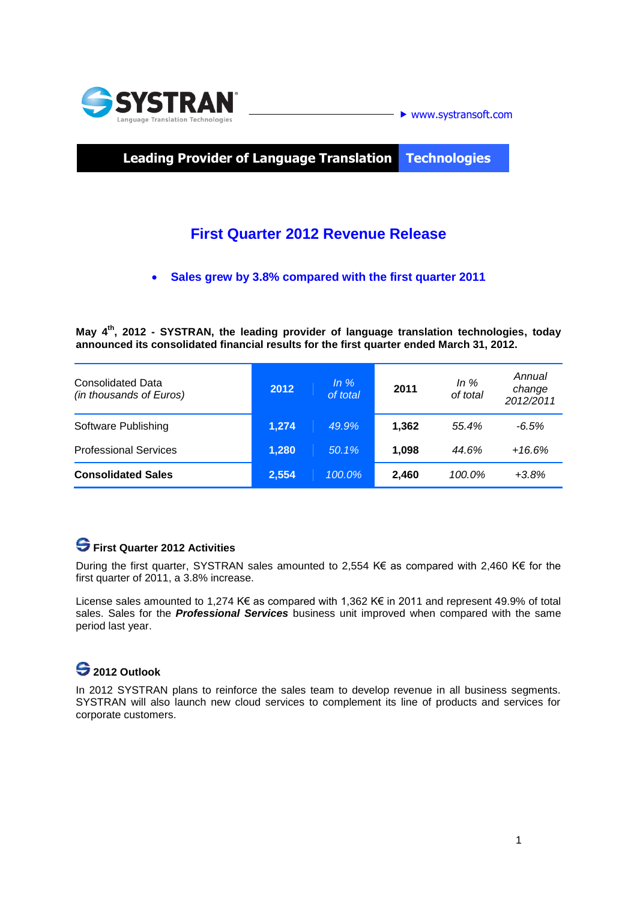

**Leading Provider of Language Translation Technologies**

## **First Quarter 2012 Revenue Release**

**Sales grew by 3.8% compared with the first quarter 2011**

**May 4 th , 2012 - SYSTRAN, the leading provider of language translation technologies, today announced its consolidated financial results for the first quarter ended March 31, 2012.** 

| <b>Consolidated Data</b><br>(in thousands of Euros) | 2012  | $ln \%$<br>of total | 2011  | In $%$<br>of total | Annual<br>change<br>2012/2011 |
|-----------------------------------------------------|-------|---------------------|-------|--------------------|-------------------------------|
| Software Publishing                                 | 1,274 | 49.9%               | 1,362 | 55.4%              | $-6.5%$                       |
| <b>Professional Services</b>                        | 1,280 | 50.1%               | 1.098 | 44.6%              | $+16.6%$                      |
| <b>Consolidated Sales</b>                           | 2,554 | 100.0%              | 2,460 | 100.0%             | $+3.8%$                       |

### **First Quarter 2012 Activities**

During the first quarter, SYSTRAN sales amounted to 2,554 K€ as compared with 2,460 K€ for the first quarter of 2011, a 3.8% increase.

License sales amounted to 1,274 K€ as compared with 1,362 K€ in 2011 and represent 49.9% of total sales. Sales for the *Professional Services* business unit improved when compared with the same period last year.

# **2012 Outlook**

In 2012 SYSTRAN plans to reinforce the sales team to develop revenue in all business segments. SYSTRAN will also launch new cloud services to complement its line of products and services for corporate customers.